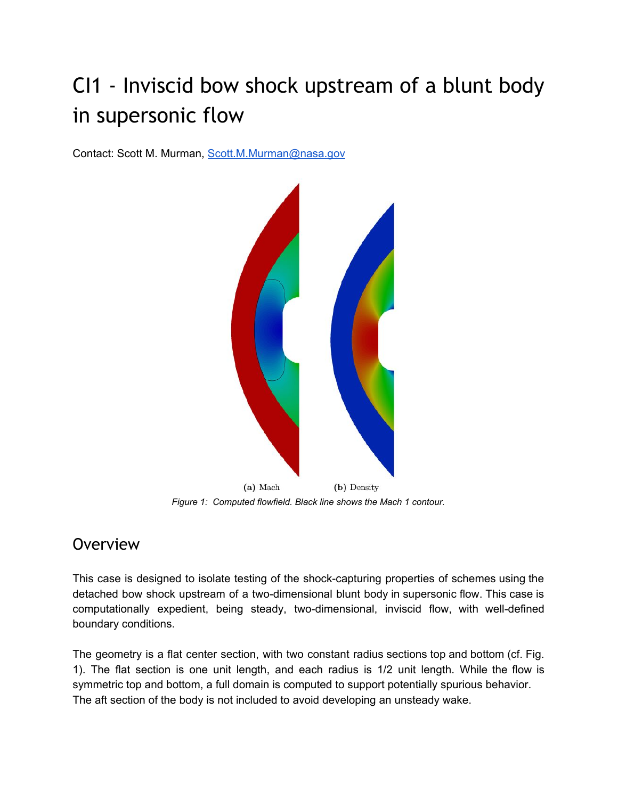# CI1 - Inviscid bow shock upstream of a blunt body in supersonic flow

Contact: Scott M. Murman, [Scott.M.Murman@nasa.gov](mailto:Scott.M.Murman@nasa.gov)



*Figure 1: Computed flowfield. Black line shows the Mach 1 contour.*

### **Overview**

This case is designed to isolate testing of the shock-capturing properties of schemes using the detached bow shock upstream of a two-dimensional blunt body in supersonic flow. This case is computationally expedient, being steady, two-dimensional, inviscid flow, with well-defined boundary conditions.

The geometry is a flat center section, with two constant radius sections top and bottom (cf. Fig. 1). The flat section is one unit length, and each radius is 1/2 unit length. While the flow is symmetric top and bottom, a full domain is computed to support potentially spurious behavior. The aft section of the body is not included to avoid developing an unsteady wake.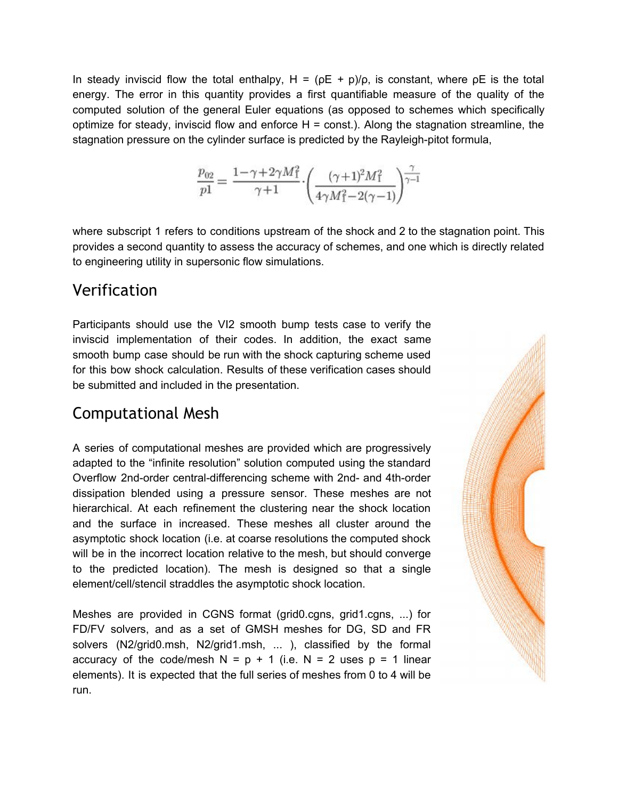In steady inviscid flow the total enthalpy,  $H = (\rho E + p)/\rho$ , is constant, where  $\rho E$  is the total energy. The error in this quantity provides a first quantifiable measure of the quality of the computed solution of the general Euler equations (as opposed to schemes which specifically optimize for steady, inviscid flow and enforce  $H =$  const.). Along the stagnation streamline, the stagnation pressure on the cylinder surface is predicted by the Rayleigh-pitot formula,

$$
\frac{p_{02}}{p1} = \frac{1-\gamma+2\gamma M_1^2}{\gamma+1} \cdot \left(\frac{(\gamma+1)^2 M_1^2}{4\gamma M_1^2-2(\gamma-1)}\right)^{\frac{\gamma}{\gamma-1}}
$$

where subscript 1 refers to conditions upstream of the shock and 2 to the stagnation point. This provides a second quantity to assess the accuracy of schemes, and one which is directly related to engineering utility in supersonic flow simulations.

#### Verification

Participants should use the VI2 smooth bump tests case to verify the inviscid implementation of their codes. In addition, the exact same smooth bump case should be run with the shock capturing scheme used for this bow shock calculation. Results of these verification cases should be submitted and included in the presentation.

### Computational Mesh

A series of computational meshes are provided which are progressively adapted to the "infinite resolution" solution computed using the standard Overflow 2nd-order central-differencing scheme with 2nd- and 4th-order dissipation blended using a pressure sensor. These meshes are not hierarchical. At each refinement the clustering near the shock location and the surface in increased. These meshes all cluster around the asymptotic shock location (i.e. at coarse resolutions the computed shock will be in the incorrect location relative to the mesh, but should converge to the predicted location). The mesh is designed so that a single element/cell/stencil straddles the asymptotic shock location.

Meshes are provided in CGNS format (grid0.cgns, grid1.cgns, ...) for FD/FV solvers, and as a set of GMSH meshes for DG, SD and FR solvers (N2/grid0.msh, N2/grid1.msh, ... ), classified by the formal accuracy of the code/mesh  $N = p + 1$  (i.e.  $N = 2$  uses  $p = 1$  linear elements). It is expected that the full series of meshes from 0 to 4 will be run.

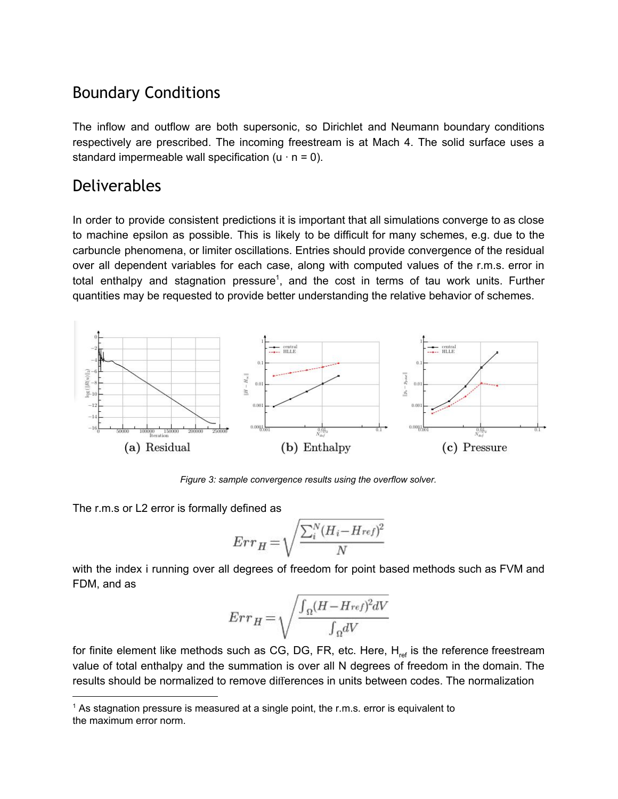## Boundary Conditions

The inflow and outflow are both supersonic, so Dirichlet and Neumann boundary conditions respectively are prescribed. The incoming freestream is at Mach 4. The solid surface uses a standard impermeable wall specification  $(u \cdot n = 0)$ .

#### Deliverables

In order to provide consistent predictions it is important that all simulations converge to as close to machine epsilon as possible. This is likely to be difficult for many schemes, e.g. due to the carbuncle phenomena, or limiter oscillations. Entries should provide convergence of the residual over all dependent variables for each case, along with computed values of the r.m.s. error in total enthalpy and stagnation pressure<sup>1</sup>, and the cost in terms of tau work units. Further quantities may be requested to provide better understanding the relative behavior of schemes.



*Figure 3: sample convergence results using the overflow solver.*

The r.m.s or L2 error is formally defined as

$$
Err_H = \sqrt{\frac{\sum_{i}^{N} (H_i - Href)^2}{N}}
$$

with the index i running over all degrees of freedom for point based methods such as FVM and FDM, and as

$$
Err_H = \sqrt{\frac{\int_{\Omega} (H - H_{ref})^2 dV}{\int_{\Omega} dV}}
$$

for finite element like methods such as CG, DG, FR, etc. Here, H<sub>ref</sub> is the reference freestream value of total enthalpy and the summation is over all N degrees of freedom in the domain. The results should be normalized to remove differences in units between codes. The normalization

 $1$  As stagnation pressure is measured at a single point, the r.m.s. error is equivalent to the maximum error norm.